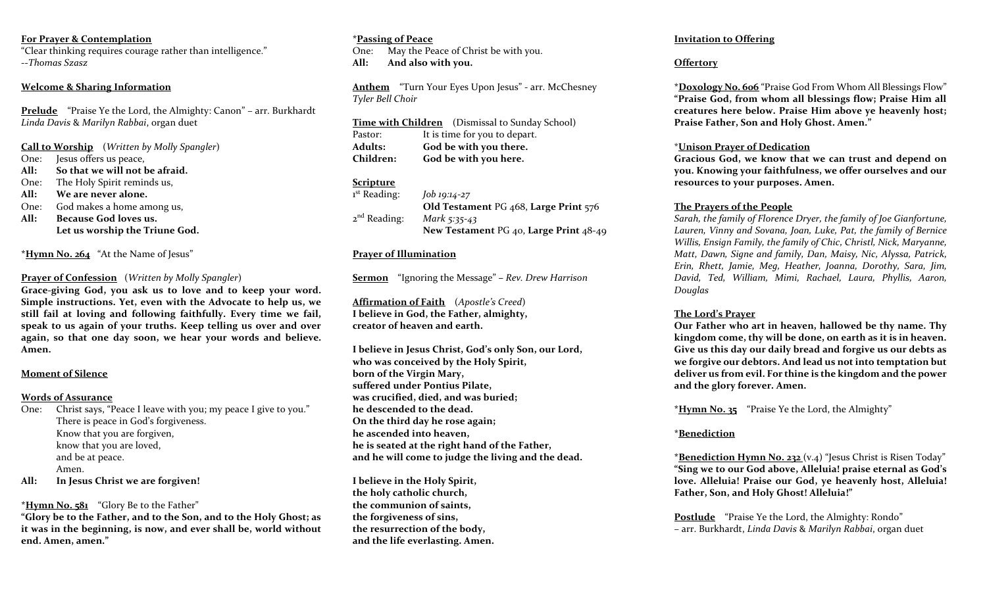#### **For Prayer & Contemplation**

"Clear thinking requires courage rather than intelligence." --*Thomas Szasz*

# **Welcome & Sharing Information**

**Prelude** "Praise Ye the Lord, the Almighty: Canon" – arr. Burkhardt *Linda Davis* & *Marilyn Rabbai*, organ duet

**Call to Worship** (*Written by Molly Spangler*)

- One: Jesus offers us peace,
- **All: So that we will not be afraid.**
- One: The Holy Spirit reminds us,
- **All: We are never alone.**
- One: God makes a home among us,
- **All: Because God loves us. Let us worship the Triune God.**

**\*Hymn No. 264** "At the Name of Jesus"

## **Prayer of Confession** (*Written by Molly Spangler*)

**Grace-giving God, you ask us to love and to keep your word. Simple instructions. Yet, even with the Advocate to help us, we still fail at loving and following faithfully. Every time we fail, speak to us again of your truths. Keep telling us over and over again, so that one day soon, we hear your words and believe. Amen.** 

#### **Moment of Silence**

#### **Words of Assurance**

One: Christ says, "Peace I leave with you; my peace I give to you." There is peace in God's forgiveness. Know that you are forgiven, know that you are loved, and be at peace. Amen.

**All: In Jesus Christ we are forgiven!**

## **\*Hymn No. 581** "Glory Be to the Father"

**"Glory be to the Father, and to the Son, and to the Holy Ghost; as it was in the beginning, is now, and ever shall be, world without end. Amen, amen."**

#### **\*Passing of Peace** One: May the Peace of Christ be with you. **All: And also with you.**

**Anthem** "Turn Your Eyes Upon Jesus" - arr. McChesney *Tyler Bell Choir*

**Time with Children** (Dismissal to Sunday School) Pastor: It is time for you to depart. **Adults: God be with you there. Children: God be with you here.**

## **Scripture**

| 1 <sup>st</sup> Reading: | Job 19:14-27                           |
|--------------------------|----------------------------------------|
|                          | Old Testament PG 468, Large Print 576  |
| $2^{nd}$ Reading:        | <i>Mark</i> 5:35-43                    |
|                          | New Testament PG 40, Large Print 48-49 |
|                          |                                        |

## **Prayer of Illumination**

**Sermon** "Ignoring the Message" **–** *Rev. Drew Harrison*

**Affirmation of Faith** (*Apostle's Creed*) **I believe in God, the Father, almighty, creator of heaven and earth.** 

**I believe in Jesus Christ, God's only Son, our Lord, who was conceived by the Holy Spirit, born of the Virgin Mary, suffered under Pontius Pilate, was crucified, died, and was buried; he descended to the dead. On the third day he rose again; he ascended into heaven, he is seated at the right hand of the Father, and he will come to judge the living and the dead.** 

**I believe in the Holy Spirit, the holy catholic church, the communion of saints, the forgiveness of sins, the resurrection of the body, and the life everlasting. Amen.** 

## **Invitation to Offering**

# **Offertory**

**\*Doxology No. 606** "Praise God From Whom All Blessings Flow" **"Praise God, from whom all blessings flow; Praise Him all creatures here below. Praise Him above ye heavenly host; Praise Father, Son and Holy Ghost. Amen."**

## \***Unison Prayer of Dedication**

**Gracious God, we know that we can trust and depend on you. Knowing your faithfulness, we offer ourselves and our resources to your purposes. Amen.** 

## **The Prayers of the People**

*Sarah, the family of Florence Dryer, the family of Joe Gianfortune, Lauren, Vinny and Sovana, Joan, Luke, Pat, the family of Bernice Willis, Ensign Family, the family of Chic, Christl, Nick, Maryanne, Matt, Dawn, Signe and family, Dan, Maisy, Nic, Alyssa, Patrick, Erin, Rhett, Jamie, Meg, Heather, Joanna, Dorothy, Sara, Jim, David, Ted, William, Mimi, Rachael, Laura, Phyllis, Aaron, Douglas* 

## **The Lord's Prayer**

**Our Father who art in heaven, hallowed be thy name. Thy kingdom come, thy will be done, on earth as it is in heaven. Give us this day our daily bread and forgive us our debts as we forgive our debtors. And lead us not into temptation but deliver us from evil. For thine is the kingdom and the power and the glory forever. Amen.**

**\*Hymn No. 35** "Praise Ye the Lord, the Almighty"

# **\*Benediction**

**\*Benediction Hymn No. 232** (v.4) "Jesus Christ is Risen Today" **"Sing we to our God above, Alleluia! praise eternal as God's love. Alleluia! Praise our God, ye heavenly host, Alleluia! Father, Son, and Holy Ghost! Alleluia!"**

**Postlude** "Praise Ye the Lord, the Almighty: Rondo" – arr. Burkhardt, *Linda Davis* & *Marilyn Rabbai*, organ duet